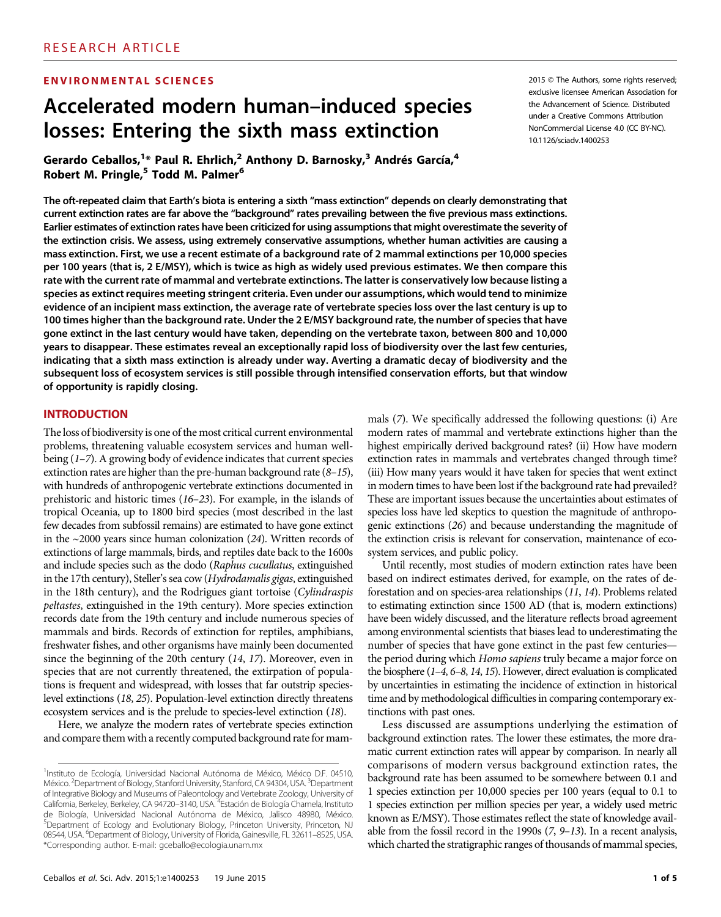#### ENVIRONMENTAL SCIENCES

# Accelerated modern human–induced species losses: Entering the sixth mass extinction

Gerardo Ceballos,<sup>1\*</sup> Paul R. Ehrlich,<sup>2</sup> Anthony D. Barnosky,<sup>3</sup> Andrés García,<sup>4</sup> Robert M. Pringle,<sup>5</sup> Todd M. Palmer<sup>6</sup>

The oft-repeated claim that Earth's biota is entering a sixth "mass extinction" depends on clearly demonstrating that current extinction rates are far above the "background" rates prevailing between the five previous mass extinctions. Earlier estimates of extinction rates have been criticized for using assumptions that might overestimate the severity of the extinction crisis. We assess, using extremely conservative assumptions, whether human activities are causing a mass extinction. First, we use a recent estimate of a background rate of 2 mammal extinctions per 10,000 species per 100 years (that is, 2 E/MSY), which is twice as high as widely used previous estimates. We then compare this rate with the current rate of mammal and vertebrate extinctions. The latter is conservatively low because listing a species as extinct requires meeting stringent criteria. Even under our assumptions, which would tend to minimize evidence of an incipient mass extinction, the average rate of vertebrate species loss over the last century is up to 100 times higher than the background rate. Under the 2 E/MSY background rate, the number of species that have gone extinct in the last century would have taken, depending on the vertebrate taxon, between 800 and 10,000 years to disappear. These estimates reveal an exceptionally rapid loss of biodiversity over the last few centuries, indicating that a sixth mass extinction is already under way. Averting a dramatic decay of biodiversity and the subsequent loss of ecosystem services is still possible through intensified conservation efforts, but that window of opportunity is rapidly closing.

#### INTRODUCTION

The loss of biodiversity is one of the most critical current environmental problems, threatening valuable ecosystem services and human wellbeing (1–7). A growing body of evidence indicates that current species extinction rates are higher than the pre-human background rate (8–15), with hundreds of anthropogenic vertebrate extinctions documented in prehistoric and historic times (16–23). For example, in the islands of tropical Oceania, up to 1800 bird species (most described in the last few decades from subfossil remains) are estimated to have gone extinct in the  $\sim$ 2000 years since human colonization (24). Written records of extinctions of large mammals, birds, and reptiles date back to the 1600s and include species such as the dodo (Raphus cucullatus, extinguished in the 17th century), Steller's sea cow (Hydrodamalis gigas, extinguished in the 18th century), and the Rodrigues giant tortoise (Cylindraspis peltastes, extinguished in the 19th century). More species extinction records date from the 19th century and include numerous species of mammals and birds. Records of extinction for reptiles, amphibians, freshwater fishes, and other organisms have mainly been documented since the beginning of the 20th century (14, 17). Moreover, even in species that are not currently threatened, the extirpation of populations is frequent and widespread, with losses that far outstrip specieslevel extinctions (18, 25). Population-level extinction directly threatens ecosystem services and is the prelude to species-level extinction (18).

Here, we analyze the modern rates of vertebrate species extinction and compare them with a recently computed background rate for mam2015 © The Authors, some rights reserved; exclusive licensee American Association for the Advancement of Science. Distributed under a Creative Commons Attribution NonCommercial License 4.0 (CC BY-NC). 10.1126/sciadv.1400253

mals (7). We specifically addressed the following questions: (i) Are modern rates of mammal and vertebrate extinctions higher than the highest empirically derived background rates? (ii) How have modern extinction rates in mammals and vertebrates changed through time? (iii) How many years would it have taken for species that went extinct in modern times to have been lost if the background rate had prevailed? These are important issues because the uncertainties about estimates of species loss have led skeptics to question the magnitude of anthropogenic extinctions (26) and because understanding the magnitude of the extinction crisis is relevant for conservation, maintenance of ecosystem services, and public policy.

Until recently, most studies of modern extinction rates have been based on indirect estimates derived, for example, on the rates of deforestation and on species-area relationships (11, 14). Problems related to estimating extinction since 1500 AD (that is, modern extinctions) have been widely discussed, and the literature reflects broad agreement among environmental scientists that biases lead to underestimating the number of species that have gone extinct in the past few centuries the period during which Homo sapiens truly became a major force on the biosphere (1–4, 6–8, 14, 15). However, direct evaluation is complicated by uncertainties in estimating the incidence of extinction in historical time and by methodological difficulties in comparing contemporary extinctions with past ones.

Less discussed are assumptions underlying the estimation of background extinction rates. The lower these estimates, the more dramatic current extinction rates will appear by comparison. In nearly all comparisons of modern versus background extinction rates, the background rate has been assumed to be somewhere between 0.1 and 1 species extinction per 10,000 species per 100 years (equal to 0.1 to 1 species extinction per million species per year, a widely used metric known as E/MSY). Those estimates reflect the state of knowledge available from the fossil record in the 1990s (7, 9–13). In a recent analysis, which charted the stratigraphic ranges of thousands of mammal species,

<sup>&</sup>lt;sup>1</sup>Instituto de Ecología, Universidad Nacional Autónoma de México, México D.F. 04510, México.<sup>2</sup> Department of Biology, Stanford University, Stanford, CA 94304, USA.<sup>3</sup> Department of Integrative Biology and Museums of Paleontology and Vertebrate Zoology, University of California, Berkeley, Berkeley, CA 94720-3140, USA. <sup>4</sup>Estación de Biología Chamela, Instituto de Biología, Universidad Nacional Autónoma de México, Jalisco 48980, México.<br><sup>5</sup>Department of Ecology and Evolutionary Biology, Princeton University, Princeton, NJ 08544, USA. <sup>6</sup>Department of Biology, University of Florida, Gainesville, FL 32611-8525, USA. \*Corresponding author. E-mail: gceballo@ecologia.unam.mx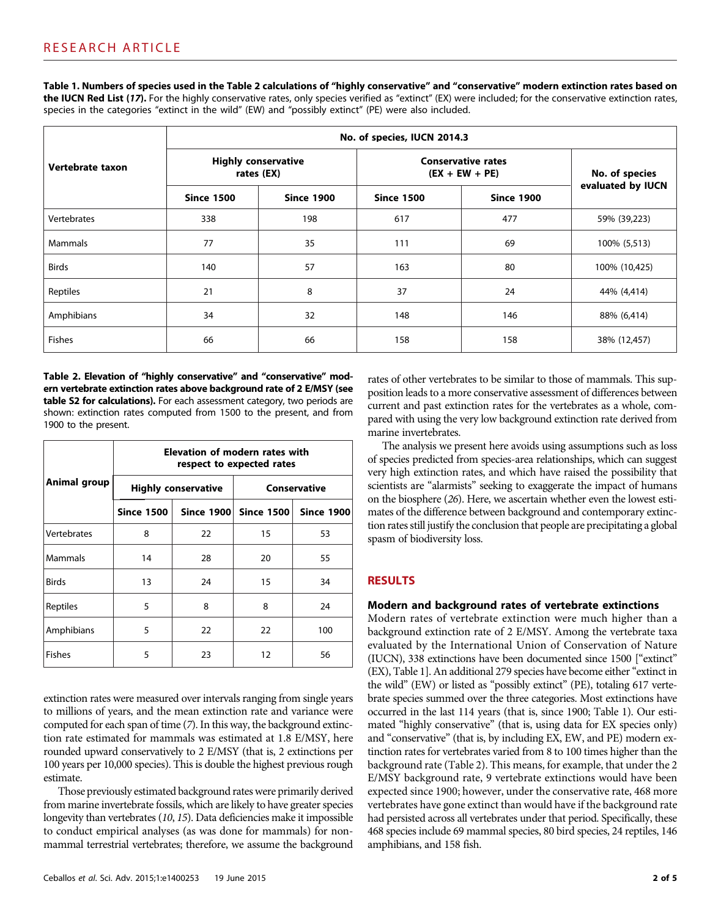Table 1. Numbers of species used in the Table 2 calculations of "highly conservative" and "conservative" modern extinction rates based on the IUCN Red List (17). For the highly conservative rates, only species verified as "extinct" (EX) were included; for the conservative extinction rates, species in the categories "extinct in the wild" (EW) and "possibly extinct" (PE) were also included.

|                  | No. of species, IUCN 2014.3              |                   |                                               |                   |                   |  |
|------------------|------------------------------------------|-------------------|-----------------------------------------------|-------------------|-------------------|--|
| Vertebrate taxon | <b>Highly conservative</b><br>rates (EX) |                   | <b>Conservative rates</b><br>$(EX + EW + PE)$ |                   | No. of species    |  |
|                  | <b>Since 1500</b>                        | <b>Since 1900</b> | <b>Since 1500</b>                             | <b>Since 1900</b> | evaluated by IUCN |  |
| Vertebrates      | 338                                      | 198               | 617                                           | 477               | 59% (39,223)      |  |
| Mammals          | 77                                       | 35                | 111                                           | 69                | 100% (5,513)      |  |
| <b>Birds</b>     | 140                                      | 57                | 163                                           | 80                | 100% (10,425)     |  |
| Reptiles         | 21                                       | 8                 | 37                                            | 24                | 44% (4,414)       |  |
| Amphibians       | 34                                       | 32                | 148                                           | 146               | 88% (6,414)       |  |
| <b>Fishes</b>    | 66                                       | 66                | 158                                           | 158               | 38% (12,457)      |  |

Table 2. Elevation of "highly conservative" and "conservative" modern vertebrate extinction rates above background rate of 2 E/MSY (see table S2 for calculations). For each assessment category, two periods are shown: extinction rates computed from 1500 to the present, and from 1900 to the present.

|               | Elevation of modern rates with<br>respect to expected rates |                            |                       |                   |  |  |
|---------------|-------------------------------------------------------------|----------------------------|-----------------------|-------------------|--|--|
| Animal group  |                                                             | <b>Highly conservative</b> | Conservative          |                   |  |  |
|               | <b>Since 1500</b>                                           |                            | Since 1900 Since 1500 | <b>Since 1900</b> |  |  |
| Vertebrates   | 8                                                           | 22                         | 15                    | 53                |  |  |
| Mammals       | 14                                                          | 28                         | 20                    | 55                |  |  |
| <b>Birds</b>  | 13                                                          | 24                         | 15                    | 34                |  |  |
| Reptiles      | 5                                                           | 8                          | 8                     | 24                |  |  |
| Amphibians    | 5                                                           | 22                         | 22                    | 100               |  |  |
| <b>Fishes</b> | 5                                                           | 23                         | 12                    | 56                |  |  |

extinction rates were measured over intervals ranging from single years to millions of years, and the mean extinction rate and variance were computed for each span of time (7). In this way, the background extinction rate estimated for mammals was estimated at 1.8 E/MSY, here rounded upward conservatively to 2 E/MSY (that is, 2 extinctions per 100 years per 10,000 species). This is double the highest previous rough estimate.

Those previously estimated background rates were primarily derived from marine invertebrate fossils, which are likely to have greater species longevity than vertebrates (10, 15). Data deficiencies make it impossible to conduct empirical analyses (as was done for mammals) for nonmammal terrestrial vertebrates; therefore, we assume the background

rates of other vertebrates to be similar to those of mammals. This supposition leads to a more conservative assessment of differences between current and past extinction rates for the vertebrates as a whole, compared with using the very low background extinction rate derived from marine invertebrates.

The analysis we present here avoids using assumptions such as loss of species predicted from species-area relationships, which can suggest very high extinction rates, and which have raised the possibility that scientists are "alarmists" seeking to exaggerate the impact of humans on the biosphere (26). Here, we ascertain whether even the lowest estimates of the difference between background and contemporary extinction rates still justify the conclusion that people are precipitating a global spasm of biodiversity loss.

## RESULTS

### Modern and background rates of vertebrate extinctions

Modern rates of vertebrate extinction were much higher than a background extinction rate of 2 E/MSY. Among the vertebrate taxa evaluated by the International Union of Conservation of Nature (IUCN), 338 extinctions have been documented since 1500 ["extinct" (EX), Table 1]. An additional 279 species have become either"extinct in the wild" (EW) or listed as "possibly extinct" (PE), totaling 617 vertebrate species summed over the three categories. Most extinctions have occurred in the last 114 years (that is, since 1900; Table 1). Our estimated "highly conservative" (that is, using data for EX species only) and "conservative" (that is, by including EX, EW, and PE) modern extinction rates for vertebrates varied from 8 to 100 times higher than the background rate (Table 2). This means, for example, that under the 2 E/MSY background rate, 9 vertebrate extinctions would have been expected since 1900; however, under the conservative rate, 468 more vertebrates have gone extinct than would have if the background rate had persisted across all vertebrates under that period. Specifically, these 468 species include 69 mammal species, 80 bird species, 24 reptiles, 146 amphibians, and 158 fish.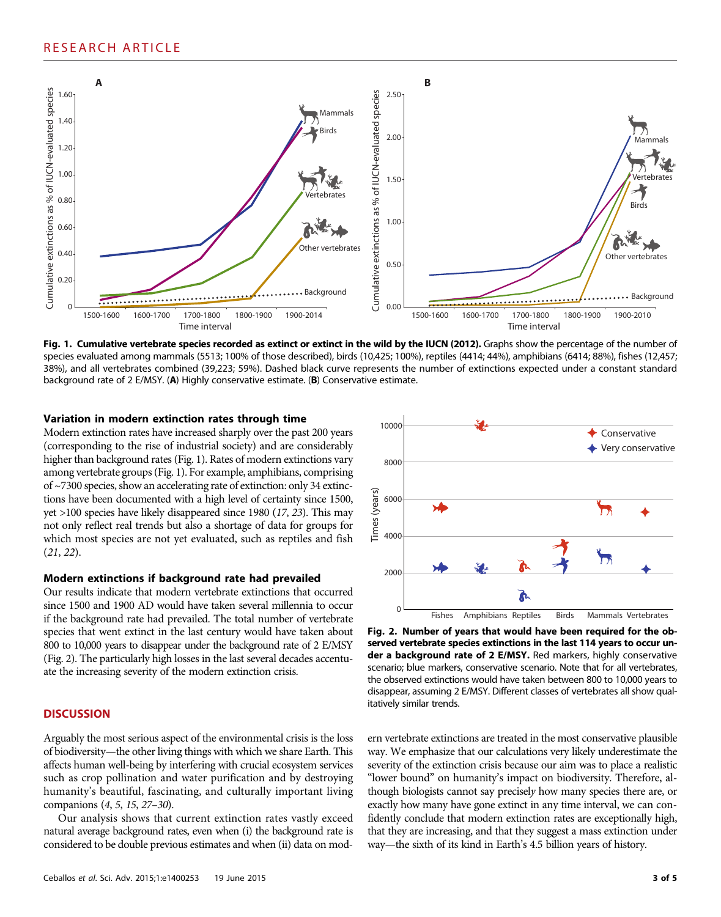

Fig. 1. Cumulative vertebrate species recorded as extinct or extinct in the wild by the IUCN (2012). Graphs show the percentage of the number of species evaluated among mammals (5513; 100% of those described), birds (10,425; 100%), reptiles (4414; 44%), amphibians (6414; 88%), fishes (12,457; 38%), and all vertebrates combined (39,223; 59%). Dashed black curve represents the number of extinctions expected under a constant standard background rate of 2 E/MSY. (A) Highly conservative estimate. (B) Conservative estimate.

#### Variation in modern extinction rates through time

Modern extinction rates have increased sharply over the past 200 years (corresponding to the rise of industrial society) and are considerably higher than background rates (Fig. 1). Rates of modern extinctions vary among vertebrate groups (Fig. 1). For example, amphibians, comprising of ~7300 species, show an accelerating rate of extinction: only 34 extinctions have been documented with a high level of certainty since 1500, yet >100 species have likely disappeared since 1980 (17, 23). This may not only reflect real trends but also a shortage of data for groups for which most species are not yet evaluated, such as reptiles and fish (21, 22).

#### Modern extinctions if background rate had prevailed

Our results indicate that modern vertebrate extinctions that occurred since 1500 and 1900 AD would have taken several millennia to occur if the background rate had prevailed. The total number of vertebrate species that went extinct in the last century would have taken about 800 to 10,000 years to disappear under the background rate of 2 E/MSY (Fig. 2). The particularly high losses in the last several decades accentuate the increasing severity of the modern extinction crisis.

#### **DISCUSSION**

Arguably the most serious aspect of the environmental crisis is the loss of biodiversity—the other living things with which we share Earth. This affects human well-being by interfering with crucial ecosystem services such as crop pollination and water purification and by destroying humanity's beautiful, fascinating, and culturally important living companions (4, 5, 15, 27–30).

Our analysis shows that current extinction rates vastly exceed natural average background rates, even when (i) the background rate is considered to be double previous estimates and when (ii) data on mod-



Fig. 2. Number of years that would have been required for the observed vertebrate species extinctions in the last 114 years to occur under a background rate of 2 E/MSY. Red markers, highly conservative scenario; blue markers, conservative scenario. Note that for all vertebrates, the observed extinctions would have taken between 800 to 10,000 years to disappear, assuming 2 E/MSY. Different classes of vertebrates all show qualitatively similar trends.

ern vertebrate extinctions are treated in the most conservative plausible way. We emphasize that our calculations very likely underestimate the severity of the extinction crisis because our aim was to place a realistic "lower bound" on humanity's impact on biodiversity. Therefore, although biologists cannot say precisely how many species there are, or exactly how many have gone extinct in any time interval, we can confidently conclude that modern extinction rates are exceptionally high, that they are increasing, and that they suggest a mass extinction under way—the sixth of its kind in Earth's 4.5 billion years of history.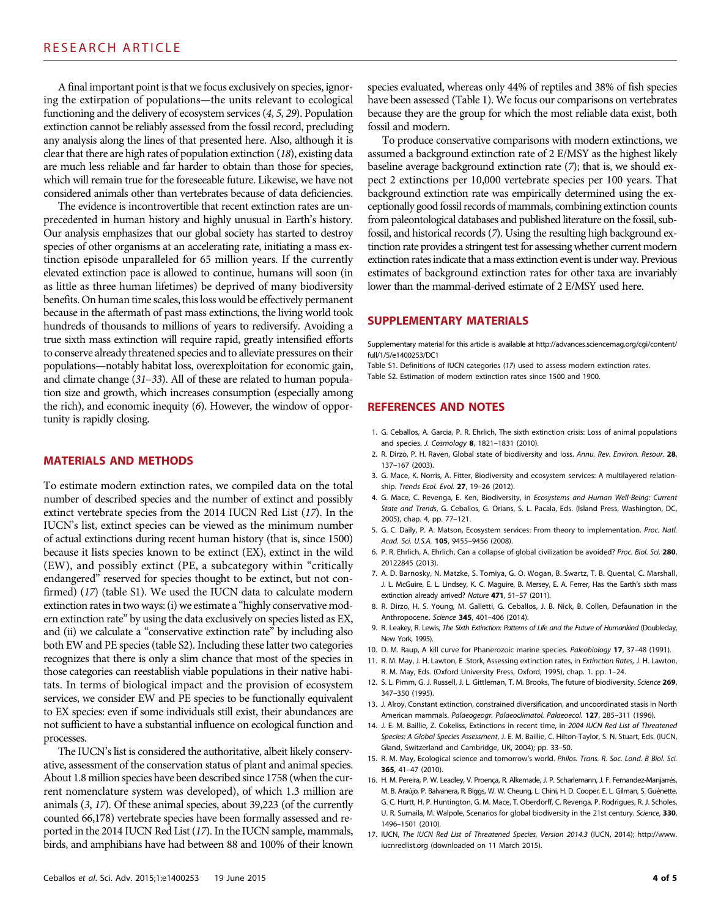A final important point is that we focus exclusively on species, ignoring the extirpation of populations—the units relevant to ecological functioning and the delivery of ecosystem services (4, 5, 29). Population extinction cannot be reliably assessed from the fossil record, precluding any analysis along the lines of that presented here. Also, although it is clear that there are high rates of population extinction (18), existing data are much less reliable and far harder to obtain than those for species, which will remain true for the foreseeable future. Likewise, we have not considered animals other than vertebrates because of data deficiencies.

The evidence is incontrovertible that recent extinction rates are unprecedented in human history and highly unusual in Earth's history. Our analysis emphasizes that our global society has started to destroy species of other organisms at an accelerating rate, initiating a mass extinction episode unparalleled for 65 million years. If the currently elevated extinction pace is allowed to continue, humans will soon (in as little as three human lifetimes) be deprived of many biodiversity benefits. On human time scales, this loss would be effectively permanent because in the aftermath of past mass extinctions, the living world took hundreds of thousands to millions of years to rediversify. Avoiding a true sixth mass extinction will require rapid, greatly intensified efforts to conserve already threatened species and to alleviate pressures on their populations—notably habitat loss, overexploitation for economic gain, and climate change (31–33). All of these are related to human population size and growth, which increases consumption (especially among the rich), and economic inequity (6). However, the window of opportunity is rapidly closing.

#### MATERIALS AND METHODS

To estimate modern extinction rates, we compiled data on the total number of described species and the number of extinct and possibly extinct vertebrate species from the 2014 IUCN Red List (17). In the IUCN's list, extinct species can be viewed as the minimum number of actual extinctions during recent human history (that is, since 1500) because it lists species known to be extinct (EX), extinct in the wild (EW), and possibly extinct (PE, a subcategory within "critically endangered" reserved for species thought to be extinct, but not confirmed) (17) (table S1). We used the IUCN data to calculate modern extinction rates in two ways: (i) we estimate a "highly conservative modern extinction rate" by using the data exclusively on species listed as EX, and (ii) we calculate a "conservative extinction rate" by including also both EW and PE species (table S2). Including these latter two categories recognizes that there is only a slim chance that most of the species in those categories can reestablish viable populations in their native habitats. In terms of biological impact and the provision of ecosystem services, we consider EW and PE species to be functionally equivalent to EX species: even if some individuals still exist, their abundances are not sufficient to have a substantial influence on ecological function and processes.

The IUCN's list is considered the authoritative, albeit likely conservative, assessment of the conservation status of plant and animal species. About 1.8 million species have been described since 1758 (when the current nomenclature system was developed), of which 1.3 million are animals (3, 17). Of these animal species, about 39,223 (of the currently counted 66,178) vertebrate species have been formally assessed and reported in the 2014 IUCN Red List (17). In the IUCN sample, mammals, birds, and amphibians have had between 88 and 100% of their known

species evaluated, whereas only 44% of reptiles and 38% of fish species have been assessed (Table 1). We focus our comparisons on vertebrates because they are the group for which the most reliable data exist, both fossil and modern.

To produce conservative comparisons with modern extinctions, we assumed a background extinction rate of 2 E/MSY as the highest likely baseline average background extinction rate (7); that is, we should expect 2 extinctions per 10,000 vertebrate species per 100 years. That background extinction rate was empirically determined using the exceptionally good fossil records of mammals, combining extinction counts from paleontological databases and published literature on the fossil, subfossil, and historical records (7). Using the resulting high background extinction rate provides a stringent test for assessing whether current modern extinction rates indicate that a mass extinction event is under way. Previous estimates of background extinction rates for other taxa are invariably lower than the mammal-derived estimate of 2 E/MSY used here.

#### SUPPLEMENTARY MATERIALS

Supplementary material for this article is available at [http://advances.sciencemag.org/cgi/content/](http://advances.sciencemag.org/cgi/content/full/1/5/e1400253/DC1) [full/1/5/e1400253/DC1](http://advances.sciencemag.org/cgi/content/full/1/5/e1400253/DC1)

Table S1. Definitions of IUCN categories (17) used to assess modern extinction rates. Table S2. Estimation of modern extinction rates since 1500 and 1900.

#### REFERENCES AND NOTES

- 1. G. Ceballos, A. Garcia, P. R. Ehrlich, The sixth extinction crisis: Loss of animal populations and species. J. Cosmology 8, 1821–1831 (2010).
- 2. R. Dirzo, P. H. Raven, Global state of biodiversity and loss. Annu. Rev. Environ. Resour. 28, 137–167 (2003).
- 3. G. Mace, K. Norris, A. Fitter, Biodiversity and ecosystem services: A multilayered relationship. Trends Ecol. Evol. 27, 19–26 (2012).
- 4. G. Mace, C. Revenga, E. Ken, Biodiversity, in Ecosystems and Human Well-Being: Current State and Trends, G. Ceballos, G. Orians, S. L. Pacala, Eds. (Island Press, Washington, DC, 2005), chap. 4, pp. 77–121.
- 5. G. C. Daily, P. A. Matson, Ecosystem services: From theory to implementation. Proc. Natl. Acad. Sci. U.S.A. 105, 9455–9456 (2008).
- 6. P. R. Ehrlich, A. Ehrlich, Can a collapse of global civilization be avoided? Proc. Biol. Sci. 280, 20122845 (2013).
- 7. A. D. Barnosky, N. Matzke, S. Tomiya, G. O. Wogan, B. Swartz, T. B. Quental, C. Marshall, J. L. McGuire, E. L. Lindsey, K. C. Maguire, B. Mersey, E. A. Ferrer, Has the Earth's sixth mass extinction already arrived? Nature 471, 51-57 (2011).
- 8. R. Dirzo, H. S. Young, M. Galletti, G. Ceballos, J. B. Nick, B. Collen, Defaunation in the Anthropocene. Science 345, 401–406 (2014).
- 9. R. Leakey, R. Lewis, The Sixth Extinction: Patterns of Life and the Future of Humankind (Doubleday, New York, 1995).
- 10. D. M. Raup, A kill curve for Phanerozoic marine species. Paleobiology 17, 37–48 (1991).
- 11. R. M. May, J. H. Lawton, E. Stork, Assessing extinction rates, in Extinction Rates, J. H. Lawton, R. M. May, Eds. (Oxford University Press, Oxford, 1995), chap. 1. pp. 1–24.
- 12. S. L. Pimm, G. J. Russell, J. L. Gittleman, T. M. Brooks, The future of biodiversity. Science 269, 347–350 (1995).
- 13. J. Alroy, Constant extinction, constrained diversification, and uncoordinated stasis in North American mammals. Palaeogeogr. Palaeoclimatol. Palaeoecol. 127, 285-311 (1996).
- 14. J. E. M. Baillie, Z. Cokeliss, Extinctions in recent time, in 2004 IUCN Red List of Threatened Species: A Global Species Assessment, J. E. M. Baillie, C. Hilton-Taylor, S. N. Stuart, Eds. (IUCN, Gland, Switzerland and Cambridge, UK, 2004); pp. 33–50.
- 15. R. M. May, Ecological science and tomorrow's world. Philos. Trans. R. Soc. Lond. B Biol. Sci. 365, 41–47 (2010).
- 16. H. M. Pereira, P. W. Leadley, V. Proença, R. Alkemade, J. P. Scharlemann, J. F. Fernandez-Manjarrés, M. B. Araújo, P. Balvanera, R. Biggs, W. W. Cheung, L. Chini, H. D. Cooper, E. L. Gilman, S. Guénette, G. C. Hurtt, H. P. Huntington, G. M. Mace, T. Oberdorff, C. Revenga, P. Rodrigues, R. J. Scholes, U. R. Sumaila, M. Walpole, Scenarios for global biodiversity in the 21st century. Science, 330, 1496–1501 (2010).
- 17. IUCN, The IUCN Red List of Threatened Species, Version 2014.3 (IUCN, 2014); [http://www.](http://www.iucnredlist.org) [iucnredlist.org](http://www.iucnredlist.org) (downloaded on 11 March 2015).